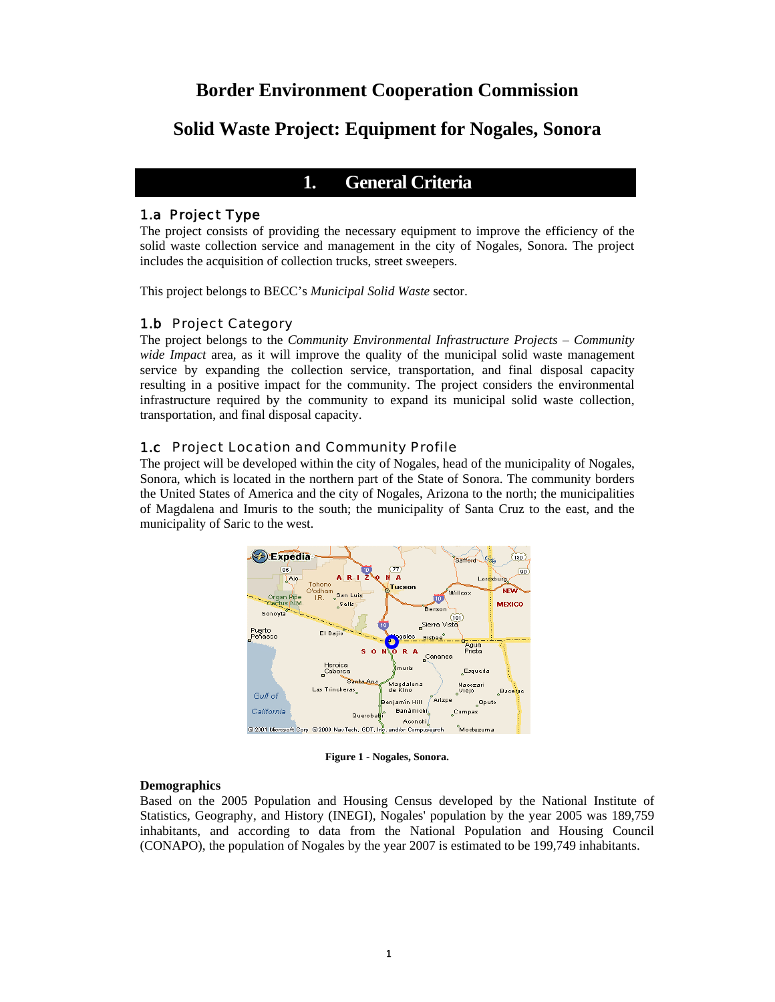# **Border Environment Cooperation Commission**

# **Solid Waste Project: Equipment for Nogales, Sonora**

# **1. General Criteria**

#### 1.a Project Type

The project consists of providing the necessary equipment to improve the efficiency of the solid waste collection service and management in the city of Nogales, Sonora. The project includes the acquisition of collection trucks, street sweepers.

This project belongs to BECC's *Municipal Solid Waste* sector.

## 1.b Project Category

The project belongs to the *Community Environmental Infrastructure Projects – Community wide Impact* area*,* as it will improve the quality of the municipal solid waste management service by expanding the collection service, transportation, and final disposal capacity resulting in a positive impact for the community. The project considers the environmental infrastructure required by the community to expand its municipal solid waste collection, transportation, and final disposal capacity.

### 1.c Project Location and Community Profile

The project will be developed within the city of Nogales, head of the municipality of Nogales, Sonora, which is located in the northern part of the State of Sonora. The community borders the United States of America and the city of Nogales, Arizona to the north; the municipalities of Magdalena and Imuris to the south; the municipality of Santa Cruz to the east, and the municipality of Saric to the west.



**Figure 1 - Nogales, Sonora.**

#### **Demographics**

Based on the 2005 Population and Housing Census developed by the National Institute of Statistics, Geography, and History (INEGI), Nogales' population by the year 2005 was 189,759 inhabitants, and according to data from the National Population and Housing Council (CONAPO), the population of Nogales by the year 2007 is estimated to be 199,749 inhabitants.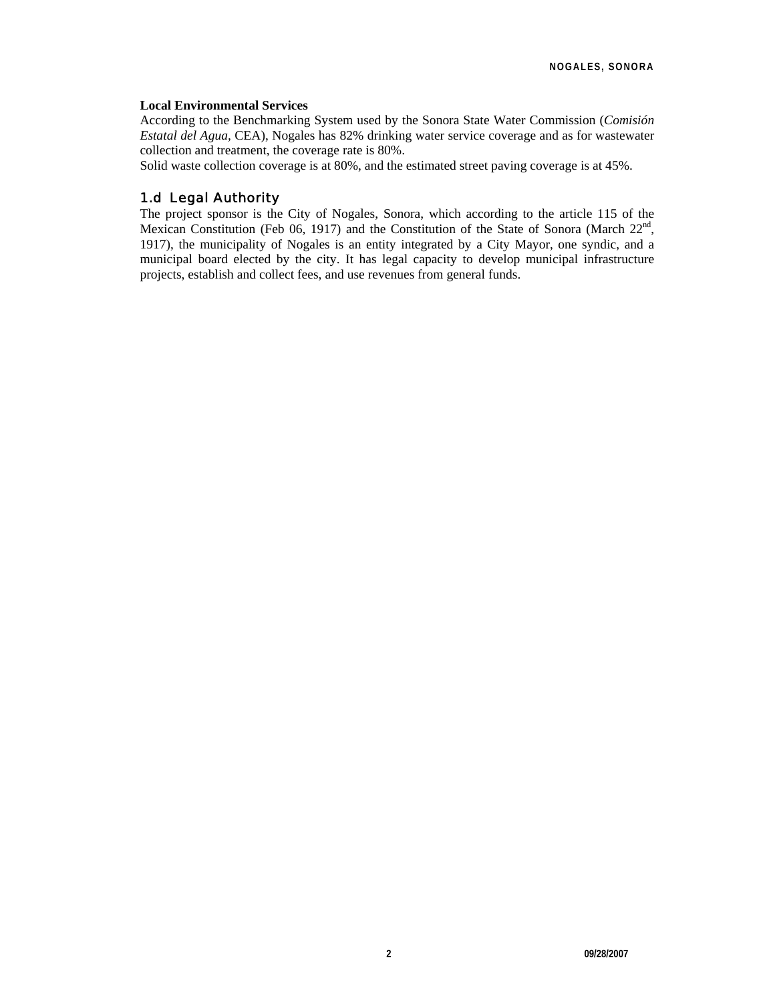#### **Local Environmental Services**

According to the Benchmarking System used by the Sonora State Water Commission (*Comisión Estatal del Agua,* CEA), Nogales has 82% drinking water service coverage and as for wastewater collection and treatment, the coverage rate is 80%.

Solid waste collection coverage is at 80%, and the estimated street paving coverage is at 45%.

## 1.d Legal Authority

The project sponsor is the City of Nogales, Sonora, which according to the article 115 of the Mexican Constitution (Feb 06, 1917) and the Constitution of the State of Sonora (March  $22<sup>nd</sup>$ , 1917), the municipality of Nogales is an entity integrated by a City Mayor, one syndic, and a municipal board elected by the city. It has legal capacity to develop municipal infrastructure projects, establish and collect fees, and use revenues from general funds.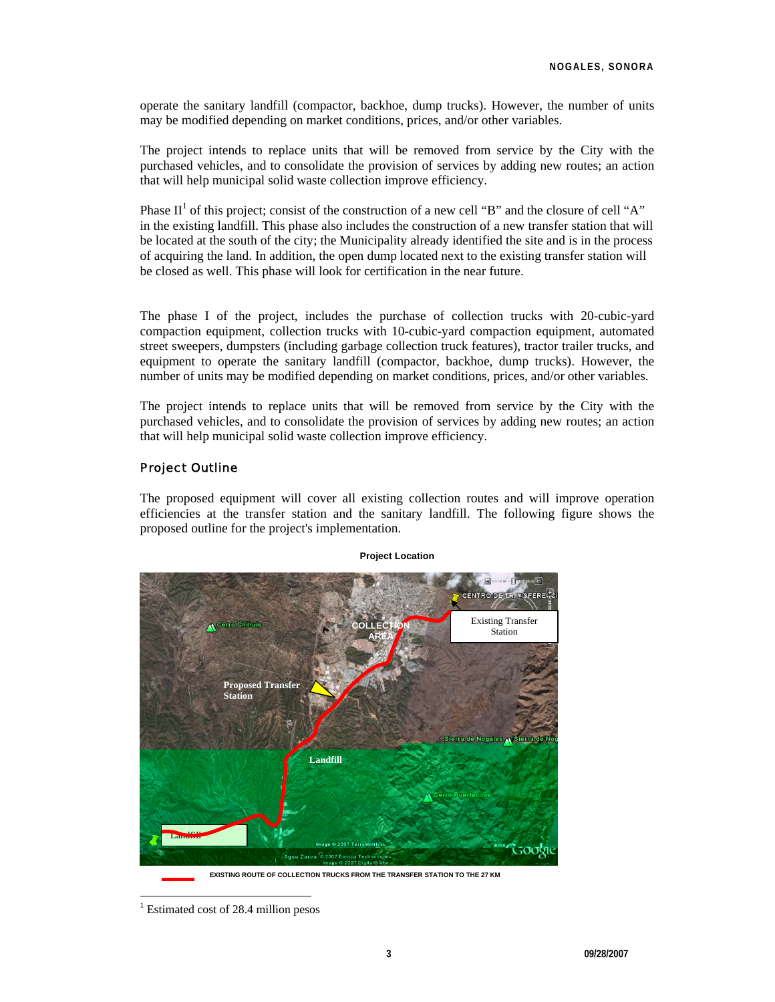operate the sanitary landfill (compactor, backhoe, dump trucks). However, the number of units may be modified depending on market conditions, prices, and/or other variables.

The project intends to replace units that will be removed from service by the City with the purchased vehicles, and to consolidate the provision of services by adding new routes; an action that will help municipal solid waste collection improve efficiency.

Phase  $II<sup>1</sup>$  of this project; consist of the construction of a new cell "B" and the closure of cell "A" in the existing landfill. This phase also includes the construction of a new transfer station that will be located at the south of the city; the Municipality already identified the site and is in the process of acquiring the land. In addition, the open dump located next to the existing transfer station will be closed as well. This phase will look for certification in the near future.

The phase I of the project, includes the purchase of collection trucks with 20-cubic-yard compaction equipment, collection trucks with 10-cubic-yard compaction equipment, automated street sweepers, dumpsters (including garbage collection truck features), tractor trailer trucks, and equipment to operate the sanitary landfill (compactor, backhoe, dump trucks). However, the number of units may be modified depending on market conditions, prices, and/or other variables.

The project intends to replace units that will be removed from service by the City with the purchased vehicles, and to consolidate the provision of services by adding new routes; an action that will help municipal solid waste collection improve efficiency.

#### Project Outline

The proposed equipment will cover all existing collection routes and will improve operation efficiencies at the transfer station and the sanitary landfill. The following figure shows the proposed outline for the project's implementation.



#### **Project Location**

l

**EXISTING ROUTE OF COLLECTION TRUCKS FROM THE TRANSFER STATION TO THE 27 KM**

<sup>&</sup>lt;sup>1</sup> Estimated cost of 28.4 million pesos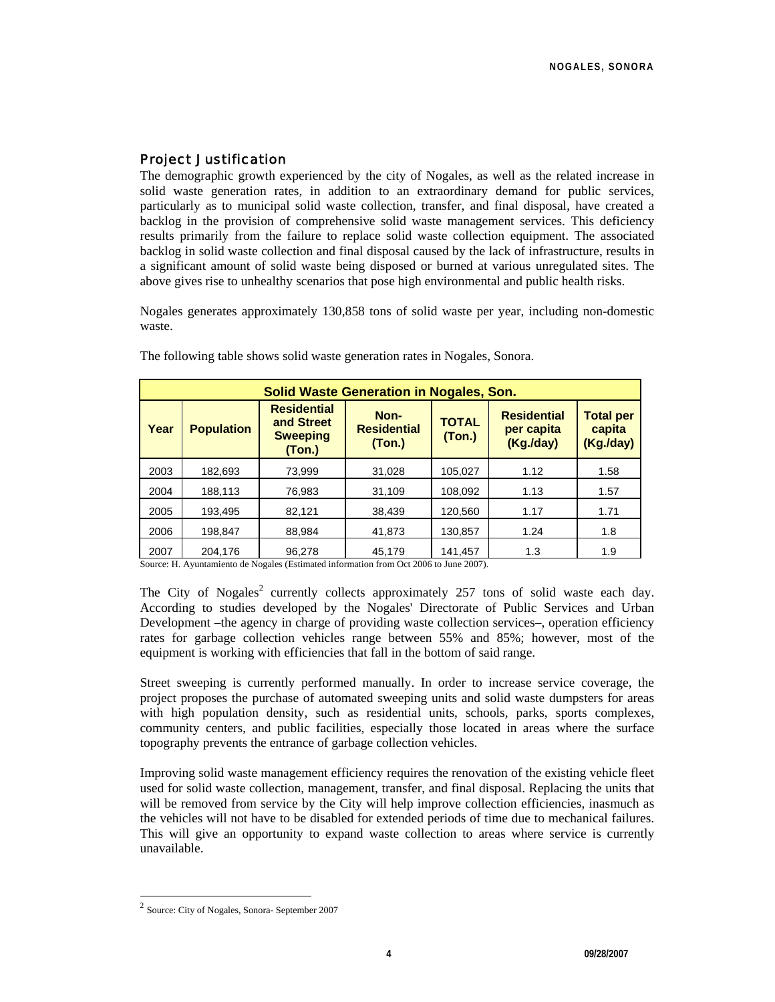## Project Justification

The demographic growth experienced by the city of Nogales, as well as the related increase in solid waste generation rates, in addition to an extraordinary demand for public services, particularly as to municipal solid waste collection, transfer, and final disposal, have created a backlog in the provision of comprehensive solid waste management services. This deficiency results primarily from the failure to replace solid waste collection equipment. The associated backlog in solid waste collection and final disposal caused by the lack of infrastructure, results in a significant amount of solid waste being disposed or burned at various unregulated sites. The above gives rise to unhealthy scenarios that pose high environmental and public health risks.

Nogales generates approximately 130,858 tons of solid waste per year, including non-domestic waste.

| <b>Solid Waste Generation in Nogales, Son.</b> |                   |                                                               |                                       |                        |                                               |                                         |
|------------------------------------------------|-------------------|---------------------------------------------------------------|---------------------------------------|------------------------|-----------------------------------------------|-----------------------------------------|
| Year                                           | <b>Population</b> | <b>Residential</b><br>and Street<br><b>Sweeping</b><br>(Ton.) | Non-<br><b>Residential</b><br>( Ton.) | <b>TOTAL</b><br>(Ton.) | <b>Residential</b><br>per capita<br>(Kg./day) | <b>Total per</b><br>capita<br>(Kg./day) |
| 2003                                           | 182,693           | 73,999                                                        | 31,028                                | 105,027                | 1.12                                          | 1.58                                    |
| 2004                                           | 188,113           | 76,983                                                        | 31,109                                | 108,092                | 1.13                                          | 1.57                                    |
| 2005                                           | 193,495           | 82,121                                                        | 38,439                                | 120,560                | 1.17                                          | 1.71                                    |
| 2006                                           | 198,847           | 88,984                                                        | 41,873                                | 130,857                | 1.24                                          | 1.8                                     |
| 2007                                           | 204.176           | 96,278                                                        | 45.179                                | 141.457                | 1.3                                           | 1.9                                     |

The following table shows solid waste generation rates in Nogales, Sonora.

Source: H. Ayuntamiento de Nogales (Estimated information from Oct 2006 to June 2007).

The City of Nogales<sup>2</sup> currently collects approximately 257 tons of solid waste each day. According to studies developed by the Nogales' Directorate of Public Services and Urban Development –the agency in charge of providing waste collection services–, operation efficiency rates for garbage collection vehicles range between 55% and 85%; however, most of the equipment is working with efficiencies that fall in the bottom of said range.

Street sweeping is currently performed manually. In order to increase service coverage, the project proposes the purchase of automated sweeping units and solid waste dumpsters for areas with high population density, such as residential units, schools, parks, sports complexes, community centers, and public facilities, especially those located in areas where the surface topography prevents the entrance of garbage collection vehicles.

Improving solid waste management efficiency requires the renovation of the existing vehicle fleet used for solid waste collection, management, transfer, and final disposal. Replacing the units that will be removed from service by the City will help improve collection efficiencies, inasmuch as the vehicles will not have to be disabled for extended periods of time due to mechanical failures. This will give an opportunity to expand waste collection to areas where service is currently unavailable.

l

<sup>2</sup> Source: City of Nogales, Sonora- September 2007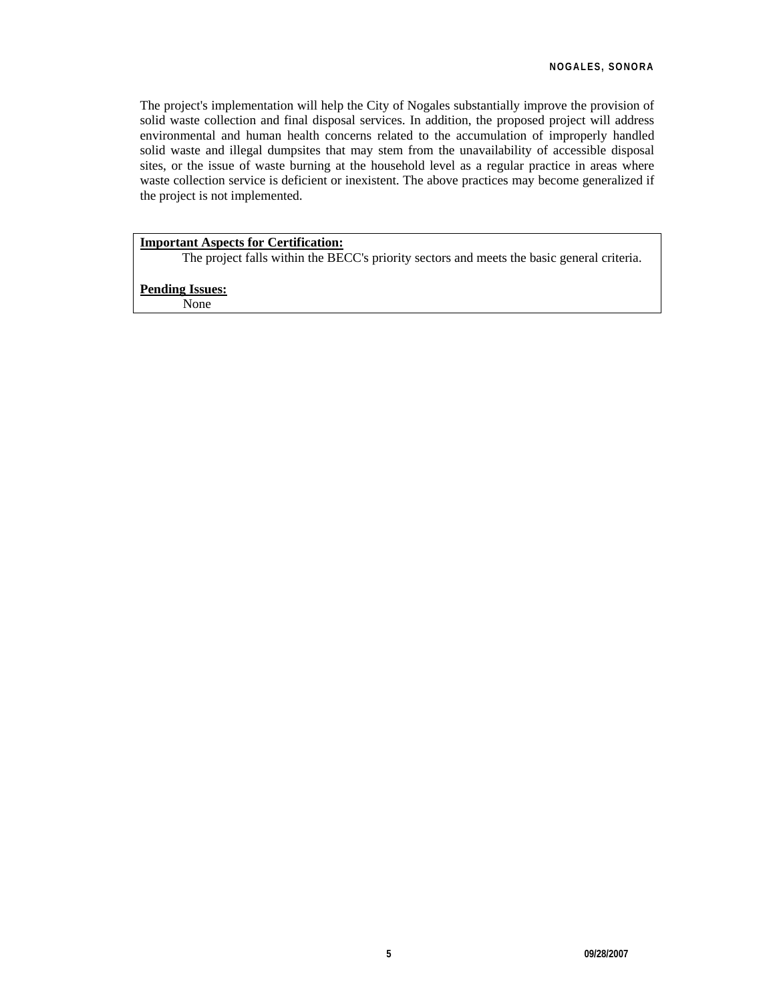The project's implementation will help the City of Nogales substantially improve the provision of solid waste collection and final disposal services. In addition, the proposed project will address environmental and human health concerns related to the accumulation of improperly handled solid waste and illegal dumpsites that may stem from the unavailability of accessible disposal sites, or the issue of waste burning at the household level as a regular practice in areas where waste collection service is deficient or inexistent. The above practices may become generalized if the project is not implemented.

## **Important Aspects for Certification:**

The project falls within the BECC's priority sectors and meets the basic general criteria.

#### **Pending Issues:**

None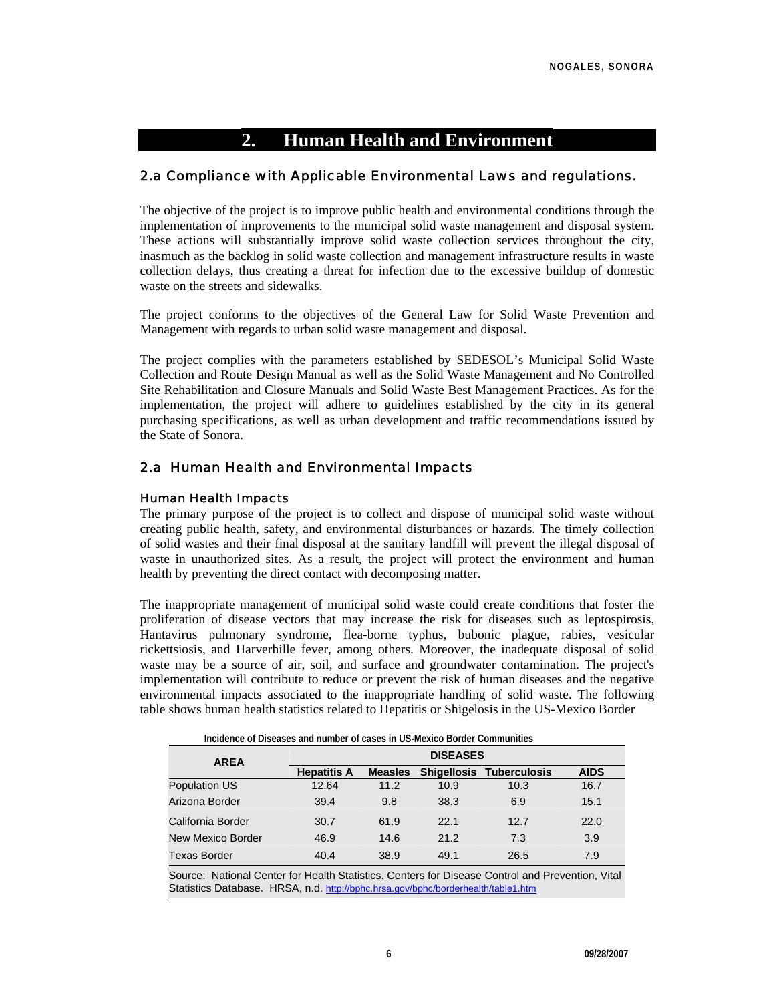# **2. Human Health and Environment**

## 2.a Compliance with Applicable Environmental Laws and regulations.

The objective of the project is to improve public health and environmental conditions through the implementation of improvements to the municipal solid waste management and disposal system. These actions will substantially improve solid waste collection services throughout the city, inasmuch as the backlog in solid waste collection and management infrastructure results in waste collection delays, thus creating a threat for infection due to the excessive buildup of domestic waste on the streets and sidewalks.

The project conforms to the objectives of the General Law for Solid Waste Prevention and Management with regards to urban solid waste management and disposal.

The project complies with the parameters established by SEDESOL's Municipal Solid Waste Collection and Route Design Manual as well as the Solid Waste Management and No Controlled Site Rehabilitation and Closure Manuals and Solid Waste Best Management Practices. As for the implementation, the project will adhere to guidelines established by the city in its general purchasing specifications, as well as urban development and traffic recommendations issued by the State of Sonora.

## 2.a Human Health and Environmental Impacts

#### Human Health Impacts

The primary purpose of the project is to collect and dispose of municipal solid waste without creating public health, safety, and environmental disturbances or hazards. The timely collection of solid wastes and their final disposal at the sanitary landfill will prevent the illegal disposal of waste in unauthorized sites. As a result, the project will protect the environment and human health by preventing the direct contact with decomposing matter.

The inappropriate management of municipal solid waste could create conditions that foster the proliferation of disease vectors that may increase the risk for diseases such as leptospirosis, Hantavirus pulmonary syndrome, flea-borne typhus, bubonic plague, rabies, vesicular rickettsiosis, and Harverhille fever, among others. Moreover, the inadequate disposal of solid waste may be a source of air, soil, and surface and groundwater contamination. The project's implementation will contribute to reduce or prevent the risk of human diseases and the negative environmental impacts associated to the inappropriate handling of solid waste. The following table shows human health statistics related to Hepatitis or Shigelosis in the US-Mexico Border

| <b>AREA</b>                                                                                                                                                                           |                    | <b>DISEASES</b> |      |                                 |             |  |  |  |
|---------------------------------------------------------------------------------------------------------------------------------------------------------------------------------------|--------------------|-----------------|------|---------------------------------|-------------|--|--|--|
|                                                                                                                                                                                       | <b>Hepatitis A</b> | <b>Measles</b>  |      | <b>Shigellosis Tuberculosis</b> | <b>AIDS</b> |  |  |  |
| Population US                                                                                                                                                                         | 12.64              | 11.2            | 10.9 | 10.3                            | 16.7        |  |  |  |
| Arizona Border                                                                                                                                                                        | 39.4               | 9.8             | 38.3 | 6.9                             | 15.1        |  |  |  |
| California Border                                                                                                                                                                     | 30.7               | 61.9            | 22.1 | 12.7                            | 22.0        |  |  |  |
| New Mexico Border                                                                                                                                                                     | 46.9               | 14.6            | 21.2 | 7.3                             | 3.9         |  |  |  |
| <b>Texas Border</b>                                                                                                                                                                   | 40.4               | 38.9            | 49.1 | 26.5                            | 7.9         |  |  |  |
| Source: National Center for Health Statistics. Centers for Disease Control and Prevention, Vital<br>Statistics Database. HRSA, n.d. http://bphc.hrsa.gov/bphc/borderhealth/table1.htm |                    |                 |      |                                 |             |  |  |  |

**Incidence of Diseases and number of cases in US-Mexico Border Communities**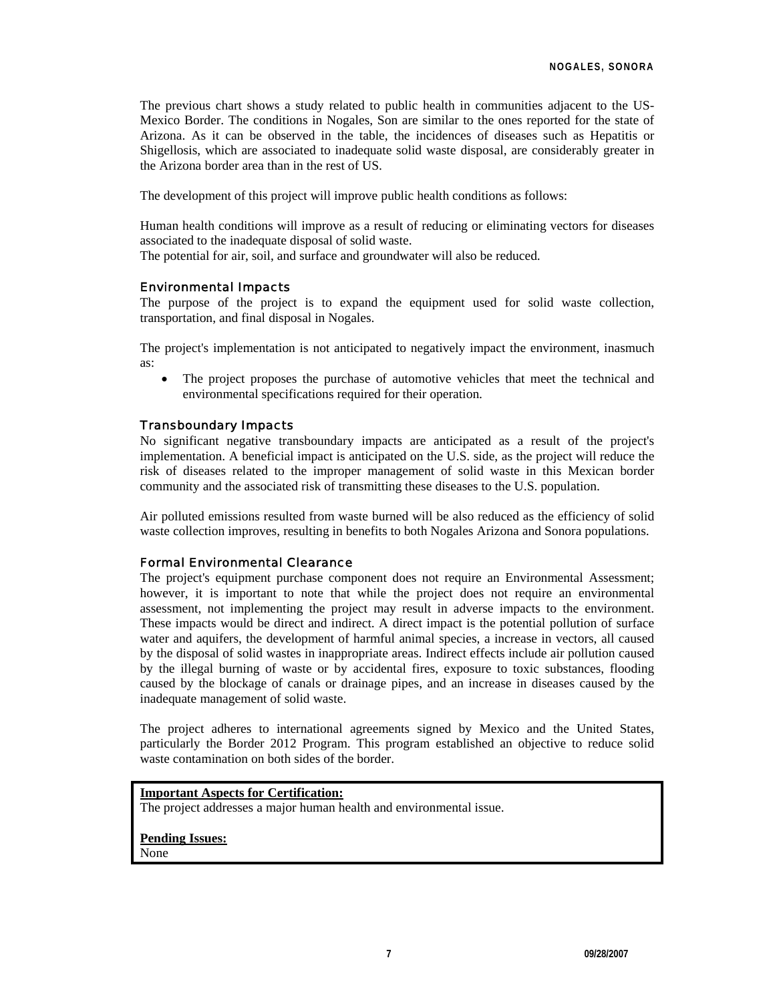The previous chart shows a study related to public health in communities adjacent to the US-Mexico Border. The conditions in Nogales, Son are similar to the ones reported for the state of Arizona. As it can be observed in the table, the incidences of diseases such as Hepatitis or Shigellosis, which are associated to inadequate solid waste disposal, are considerably greater in the Arizona border area than in the rest of US.

The development of this project will improve public health conditions as follows:

Human health conditions will improve as a result of reducing or eliminating vectors for diseases associated to the inadequate disposal of solid waste.

The potential for air, soil, and surface and groundwater will also be reduced.

#### Environmental Impacts

The purpose of the project is to expand the equipment used for solid waste collection, transportation, and final disposal in Nogales.

The project's implementation is not anticipated to negatively impact the environment, inasmuch as:

The project proposes the purchase of automotive vehicles that meet the technical and environmental specifications required for their operation.

#### Transboundary Impacts

No significant negative transboundary impacts are anticipated as a result of the project's implementation. A beneficial impact is anticipated on the U.S. side, as the project will reduce the risk of diseases related to the improper management of solid waste in this Mexican border community and the associated risk of transmitting these diseases to the U.S. population.

Air polluted emissions resulted from waste burned will be also reduced as the efficiency of solid waste collection improves, resulting in benefits to both Nogales Arizona and Sonora populations.

#### Formal Environmental Clearance

The project's equipment purchase component does not require an Environmental Assessment; however, it is important to note that while the project does not require an environmental assessment, not implementing the project may result in adverse impacts to the environment. These impacts would be direct and indirect. A direct impact is the potential pollution of surface water and aquifers, the development of harmful animal species, a increase in vectors, all caused by the disposal of solid wastes in inappropriate areas. Indirect effects include air pollution caused by the illegal burning of waste or by accidental fires, exposure to toxic substances, flooding caused by the blockage of canals or drainage pipes, and an increase in diseases caused by the inadequate management of solid waste.

The project adheres to international agreements signed by Mexico and the United States, particularly the Border 2012 Program. This program established an objective to reduce solid waste contamination on both sides of the border.

#### **Important Aspects for Certification:**

The project addresses a major human health and environmental issue.

**Pending Issues:** None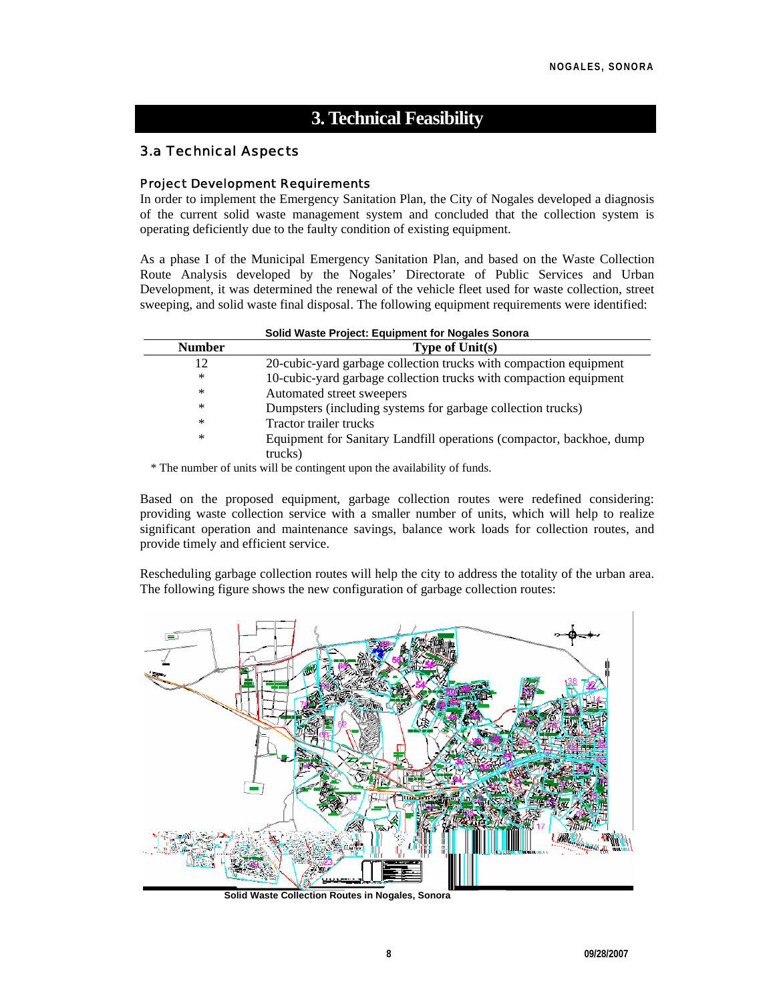# **3. Technical Feasibility**

## 3.a Technical Aspects

#### Project Development Requirements

In order to implement the Emergency Sanitation Plan, the City of Nogales developed a diagnosis of the current solid waste management system and concluded that the collection system is operating deficiently due to the faulty condition of existing equipment.

As a phase I of the Municipal Emergency Sanitation Plan, and based on the Waste Collection Route Analysis developed by the Nogales' Directorate of Public Services and Urban Development, it was determined the renewal of the vehicle fleet used for waste collection, street sweeping, and solid waste final disposal. The following equipment requirements were identified:

| Solid Waste Project: Equipment for Nogales Sonora |                                                                      |  |  |  |
|---------------------------------------------------|----------------------------------------------------------------------|--|--|--|
| <b>Number</b>                                     | Type of $Unit(s)$                                                    |  |  |  |
| 12                                                | 20-cubic-yard garbage collection trucks with compaction equipment    |  |  |  |
| ∗                                                 | 10-cubic-yard garbage collection trucks with compaction equipment    |  |  |  |
| ∗                                                 | Automated street sweepers                                            |  |  |  |
| *                                                 | Dumpsters (including systems for garbage collection trucks)          |  |  |  |
| $\ast$                                            | Tractor trailer trucks                                               |  |  |  |
| *                                                 | Equipment for Sanitary Landfill operations (compactor, backhoe, dump |  |  |  |
|                                                   | trucks)                                                              |  |  |  |

\* The number of units will be contingent upon the availability of funds.

Based on the proposed equipment, garbage collection routes were redefined considering: providing waste collection service with a smaller number of units, which will help to realize significant operation and maintenance savings, balance work loads for collection routes, and provide timely and efficient service.

Rescheduling garbage collection routes will help the city to address the totality of the urban area. The following figure shows the new configuration of garbage collection routes:



**Solid Waste Collection Routes in Nogales, Sonora**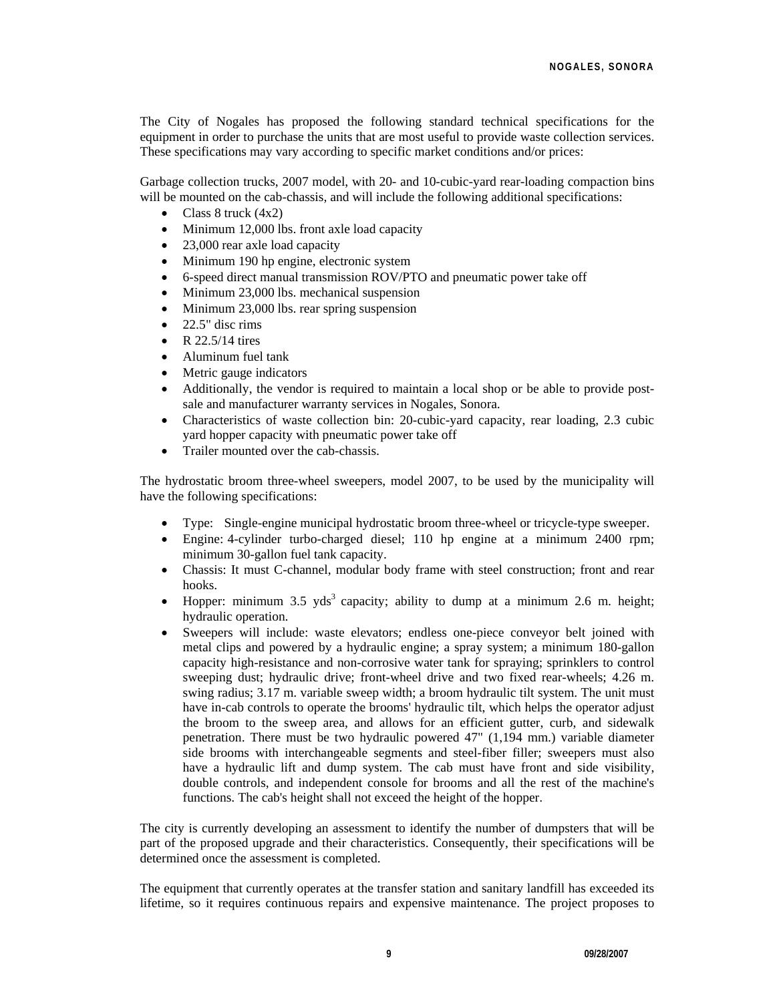The City of Nogales has proposed the following standard technical specifications for the equipment in order to purchase the units that are most useful to provide waste collection services. These specifications may vary according to specific market conditions and/or prices:

Garbage collection trucks, 2007 model, with 20- and 10-cubic-yard rear-loading compaction bins will be mounted on the cab-chassis, and will include the following additional specifications:

- Class 8 truck (4x2)
- Minimum 12,000 lbs. front axle load capacity
- 23,000 rear axle load capacity
- Minimum 190 hp engine, electronic system
- 6-speed direct manual transmission ROV/PTO and pneumatic power take off
- Minimum 23,000 lbs. mechanical suspension
- Minimum 23,000 lbs. rear spring suspension
- 22.5" disc rims
- R 22.5/14 tires
- Aluminum fuel tank
- Metric gauge indicators
- Additionally, the vendor is required to maintain a local shop or be able to provide postsale and manufacturer warranty services in Nogales, Sonora.
- Characteristics of waste collection bin: 20-cubic-yard capacity, rear loading, 2.3 cubic yard hopper capacity with pneumatic power take off
- Trailer mounted over the cab-chassis.

The hydrostatic broom three-wheel sweepers, model 2007, to be used by the municipality will have the following specifications:

- Type: Single-engine municipal hydrostatic broom three-wheel or tricycle-type sweeper.
- Engine: 4-cylinder turbo-charged diesel; 110 hp engine at a minimum 2400 rpm; minimum 30-gallon fuel tank capacity.
- Chassis: It must C-channel, modular body frame with steel construction; front and rear hooks.
- Hopper: minimum 3.5  $yds<sup>3</sup>$  capacity; ability to dump at a minimum 2.6 m. height; hydraulic operation.
- Sweepers will include: waste elevators; endless one-piece conveyor belt joined with metal clips and powered by a hydraulic engine; a spray system; a minimum 180-gallon capacity high-resistance and non-corrosive water tank for spraying; sprinklers to control sweeping dust; hydraulic drive; front-wheel drive and two fixed rear-wheels; 4.26 m. swing radius; 3.17 m. variable sweep width; a broom hydraulic tilt system. The unit must have in-cab controls to operate the brooms' hydraulic tilt, which helps the operator adjust the broom to the sweep area, and allows for an efficient gutter, curb, and sidewalk penetration. There must be two hydraulic powered 47" (1,194 mm.) variable diameter side brooms with interchangeable segments and steel-fiber filler; sweepers must also have a hydraulic lift and dump system. The cab must have front and side visibility, double controls, and independent console for brooms and all the rest of the machine's functions. The cab's height shall not exceed the height of the hopper.

The city is currently developing an assessment to identify the number of dumpsters that will be part of the proposed upgrade and their characteristics. Consequently, their specifications will be determined once the assessment is completed.

The equipment that currently operates at the transfer station and sanitary landfill has exceeded its lifetime, so it requires continuous repairs and expensive maintenance. The project proposes to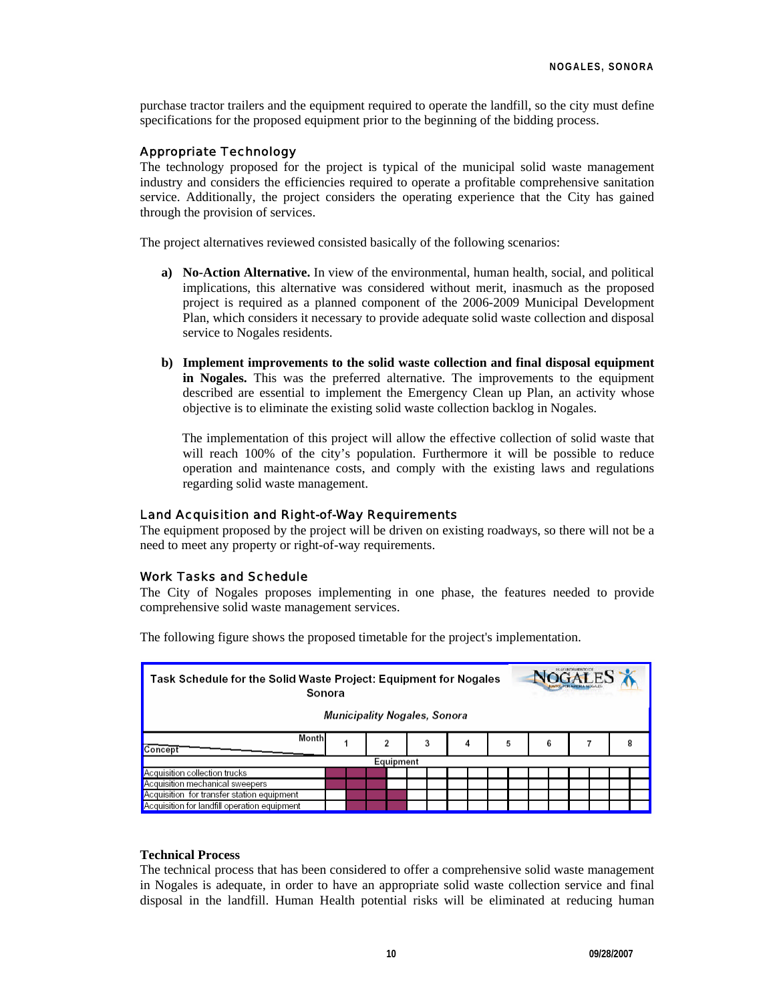purchase tractor trailers and the equipment required to operate the landfill, so the city must define specifications for the proposed equipment prior to the beginning of the bidding process.

#### Appropriate Technology

The technology proposed for the project is typical of the municipal solid waste management industry and considers the efficiencies required to operate a profitable comprehensive sanitation service. Additionally, the project considers the operating experience that the City has gained through the provision of services.

The project alternatives reviewed consisted basically of the following scenarios:

- **a) No-Action Alternative.** In view of the environmental, human health, social, and political implications, this alternative was considered without merit, inasmuch as the proposed project is required as a planned component of the 2006-2009 Municipal Development Plan, which considers it necessary to provide adequate solid waste collection and disposal service to Nogales residents.
- **b) Implement improvements to the solid waste collection and final disposal equipment in Nogales.** This was the preferred alternative. The improvements to the equipment described are essential to implement the Emergency Clean up Plan, an activity whose objective is to eliminate the existing solid waste collection backlog in Nogales.

The implementation of this project will allow the effective collection of solid waste that will reach 100% of the city's population. Furthermore it will be possible to reduce operation and maintenance costs, and comply with the existing laws and regulations regarding solid waste management.

#### Land Acquisition and Right-of-Way Requirements

The equipment proposed by the project will be driven on existing roadways, so there will not be a need to meet any property or right-of-way requirements.

#### Work Tasks and Schedule

The City of Nogales proposes implementing in one phase, the features needed to provide comprehensive solid waste management services.

| $40$ GALES<br>Task Schedule for the Solid Waste Project: Equipment for Nogales<br>Sonora<br>Municipality Nogales, Sonora |  |   |   |   |   |   |  |
|--------------------------------------------------------------------------------------------------------------------------|--|---|---|---|---|---|--|
| Month<br>Concept                                                                                                         |  | 2 | 3 | 4 | 5 | 6 |  |
| Equipment                                                                                                                |  |   |   |   |   |   |  |
| Acquisition collection trucks                                                                                            |  |   |   |   |   |   |  |
| Acquisition mechanical sweepers                                                                                          |  |   |   |   |   |   |  |
| Acquisition for transfer station equipment                                                                               |  |   |   |   |   |   |  |
| Acquisition for landfill operation equipment                                                                             |  |   |   |   |   |   |  |

The following figure shows the proposed timetable for the project's implementation.

### **Technical Process**

The technical process that has been considered to offer a comprehensive solid waste management in Nogales is adequate, in order to have an appropriate solid waste collection service and final disposal in the landfill. Human Health potential risks will be eliminated at reducing human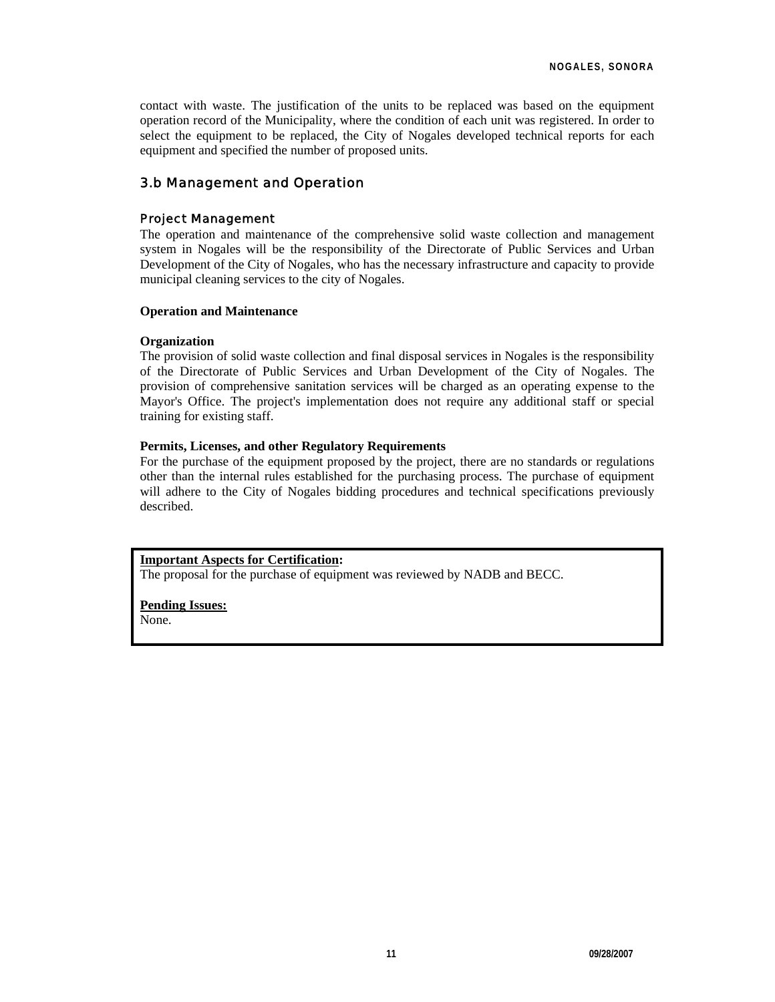contact with waste. The justification of the units to be replaced was based on the equipment operation record of the Municipality, where the condition of each unit was registered. In order to select the equipment to be replaced, the City of Nogales developed technical reports for each equipment and specified the number of proposed units.

## 3.b Management and Operation

#### Project Management

The operation and maintenance of the comprehensive solid waste collection and management system in Nogales will be the responsibility of the Directorate of Public Services and Urban Development of the City of Nogales, who has the necessary infrastructure and capacity to provide municipal cleaning services to the city of Nogales.

#### **Operation and Maintenance**

#### **Organization**

The provision of solid waste collection and final disposal services in Nogales is the responsibility of the Directorate of Public Services and Urban Development of the City of Nogales. The provision of comprehensive sanitation services will be charged as an operating expense to the Mayor's Office. The project's implementation does not require any additional staff or special training for existing staff.

#### **Permits, Licenses, and other Regulatory Requirements**

For the purchase of the equipment proposed by the project, there are no standards or regulations other than the internal rules established for the purchasing process. The purchase of equipment will adhere to the City of Nogales bidding procedures and technical specifications previously described.

#### **Important Aspects for Certification:**

The proposal for the purchase of equipment was reviewed by NADB and BECC.

## **Pending Issues:**

None.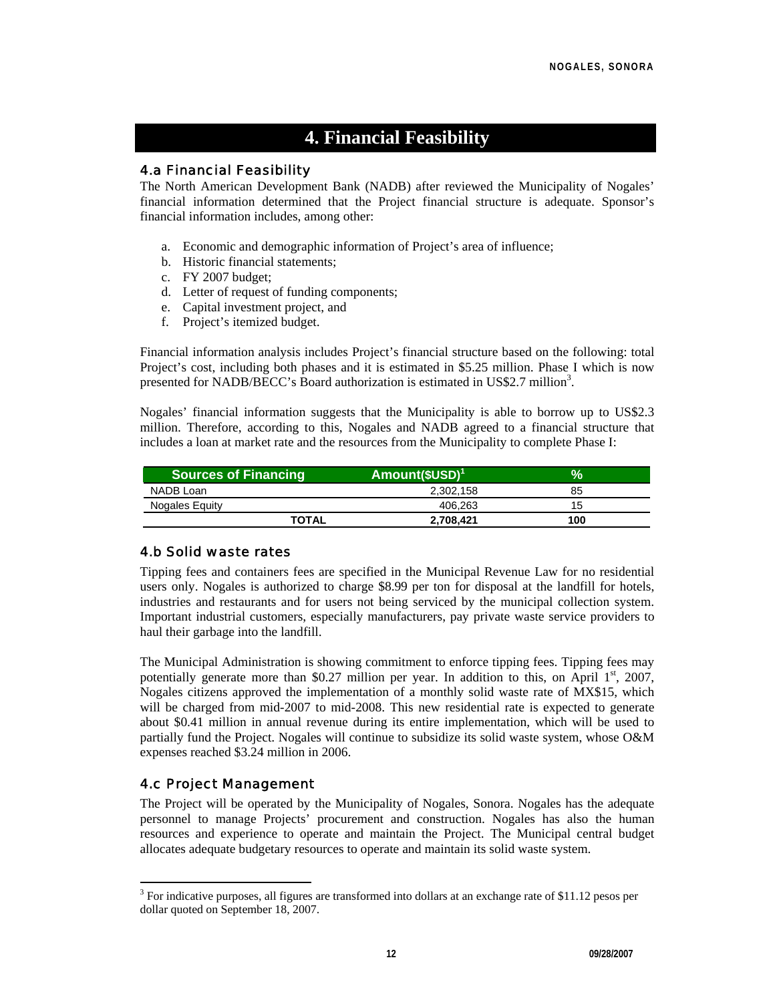# **4. Financial Feasibility**

## 4.a Financial Feasibility

The North American Development Bank (NADB) after reviewed the Municipality of Nogales' financial information determined that the Project financial structure is adequate. Sponsor's financial information includes, among other:

- a. Economic and demographic information of Project's area of influence;
- b. Historic financial statements;
- c. FY 2007 budget;
- d. Letter of request of funding components;
- e. Capital investment project, and
- f. Project's itemized budget.

Financial information analysis includes Project's financial structure based on the following: total Project's cost, including both phases and it is estimated in \$5.25 million. Phase I which is now presented for NADB/BECC's Board authorization is estimated in US\$2.7 million<sup>3</sup>.

Nogales' financial information suggests that the Municipality is able to borrow up to US\$2.3 million. Therefore, according to this, Nogales and NADB agreed to a financial structure that includes a loan at market rate and the resources from the Municipality to complete Phase I:

| <b>Sources of Financing</b> | $Amount($USD)^1$ | $\%$ |
|-----------------------------|------------------|------|
| NADB Loan                   | 2,302,158        | 85   |
| Nogales Equity              | 406.263          | 15   |
| <b>TOTAL</b>                | 2,708,421        | 100  |

## 4.b Solid waste rates

Tipping fees and containers fees are specified in the Municipal Revenue Law for no residential users only. Nogales is authorized to charge \$8.99 per ton for disposal at the landfill for hotels, industries and restaurants and for users not being serviced by the municipal collection system. Important industrial customers, especially manufacturers, pay private waste service providers to haul their garbage into the landfill.

The Municipal Administration is showing commitment to enforce tipping fees. Tipping fees may potentially generate more than \$0.27 million per year. In addition to this, on April  $1<sup>st</sup>$ , 2007, Nogales citizens approved the implementation of a monthly solid waste rate of MX\$15, which will be charged from mid-2007 to mid-2008. This new residential rate is expected to generate about \$0.41 million in annual revenue during its entire implementation, which will be used to partially fund the Project. Nogales will continue to subsidize its solid waste system, whose O&M expenses reached \$3.24 million in 2006.

## 4.c Project Management

l

The Project will be operated by the Municipality of Nogales, Sonora. Nogales has the adequate personnel to manage Projects' procurement and construction. Nogales has also the human resources and experience to operate and maintain the Project. The Municipal central budget allocates adequate budgetary resources to operate and maintain its solid waste system.

<sup>&</sup>lt;sup>3</sup> For indicative purposes, all figures are transformed into dollars at an exchange rate of \$11.12 pesos per dollar quoted on September 18, 2007.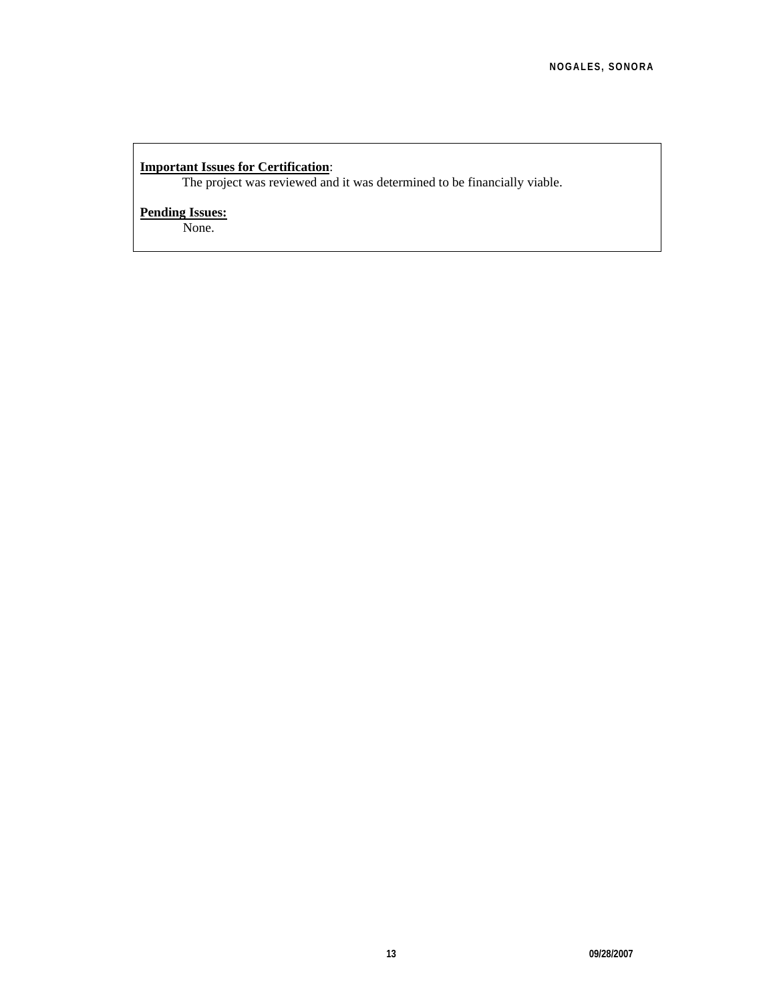## **Important Issues for Certification**:

The project was reviewed and it was determined to be financially viable.

## **Pending Issues:**

None.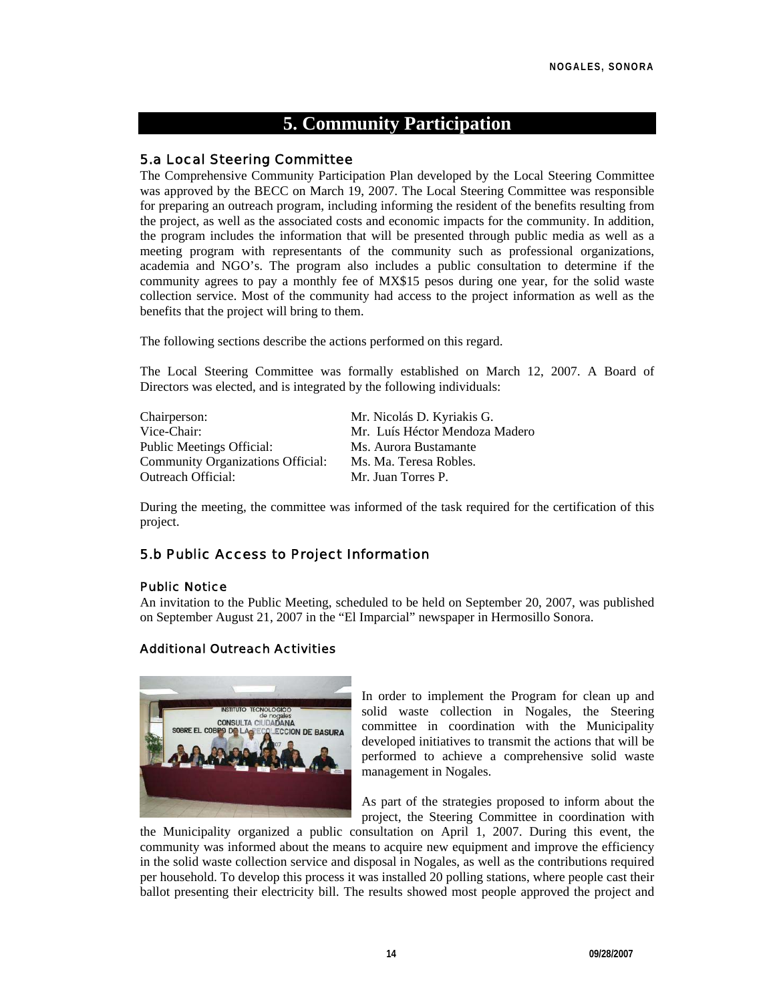# **5. Community Participation**

## 5.a Local Steering Committee

The Comprehensive Community Participation Plan developed by the Local Steering Committee was approved by the BECC on March 19, 2007. The Local Steering Committee was responsible for preparing an outreach program, including informing the resident of the benefits resulting from the project, as well as the associated costs and economic impacts for the community. In addition, the program includes the information that will be presented through public media as well as a meeting program with representants of the community such as professional organizations, academia and NGO's. The program also includes a public consultation to determine if the community agrees to pay a monthly fee of MX\$15 pesos during one year, for the solid waste collection service. Most of the community had access to the project information as well as the benefits that the project will bring to them.

The following sections describe the actions performed on this regard.

The Local Steering Committee was formally established on March 12, 2007. A Board of Directors was elected, and is integrated by the following individuals:

| Chairperson:                             | Mr. Nicolás D. Kyriakis G.     |
|------------------------------------------|--------------------------------|
| Vice-Chair:                              | Mr. Luís Héctor Mendoza Madero |
| <b>Public Meetings Official:</b>         | Ms. Aurora Bustamante          |
| <b>Community Organizations Official:</b> | Ms. Ma. Teresa Robles.         |
| Outreach Official:                       | Mr. Juan Torres P.             |

During the meeting, the committee was informed of the task required for the certification of this project.

## 5.b Public Access to Project Information

#### Public Notice

An invitation to the Public Meeting, scheduled to be held on September 20, 2007, was published on September August 21, 2007 in the "El Imparcial" newspaper in Hermosillo Sonora.

#### Additional Outreach Activities



In order to implement the Program for clean up and solid waste collection in Nogales, the Steering committee in coordination with the Municipality developed initiatives to transmit the actions that will be performed to achieve a comprehensive solid waste management in Nogales.

As part of the strategies proposed to inform about the project, the Steering Committee in coordination with

the Municipality organized a public consultation on April 1, 2007. During this event, the community was informed about the means to acquire new equipment and improve the efficiency in the solid waste collection service and disposal in Nogales, as well as the contributions required per household. To develop this process it was installed 20 polling stations, where people cast their ballot presenting their electricity bill. The results showed most people approved the project and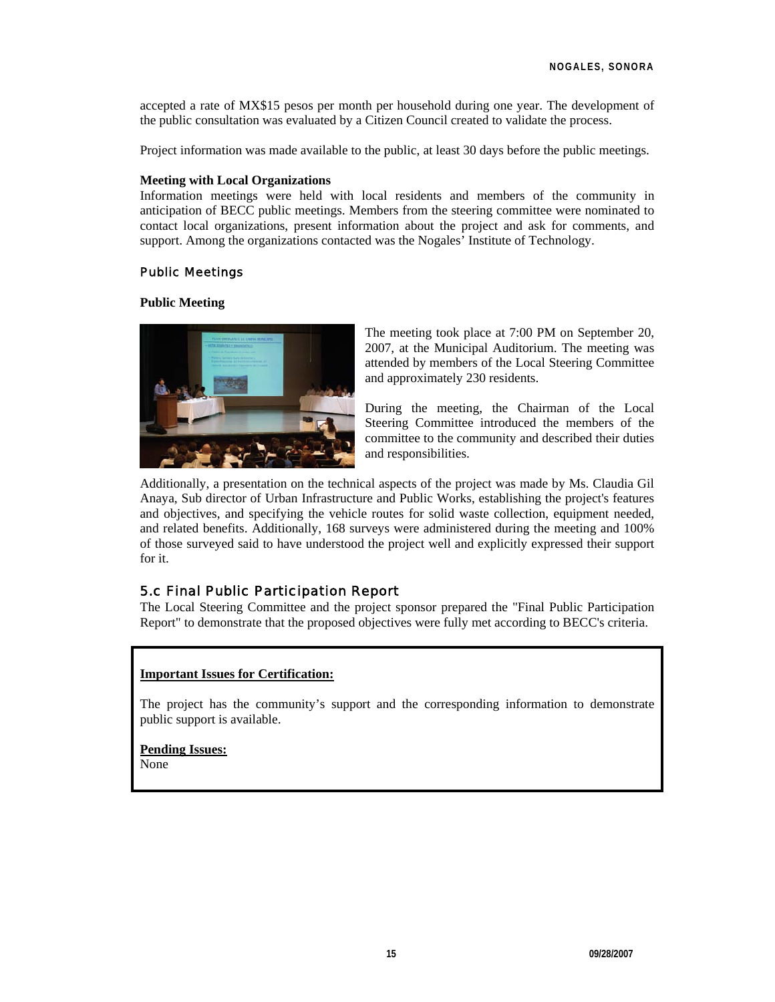accepted a rate of MX\$15 pesos per month per household during one year. The development of the public consultation was evaluated by a Citizen Council created to validate the process.

Project information was made available to the public, at least 30 days before the public meetings.

#### **Meeting with Local Organizations**

Information meetings were held with local residents and members of the community in anticipation of BECC public meetings. Members from the steering committee were nominated to contact local organizations, present information about the project and ask for comments, and support. Among the organizations contacted was the Nogales' Institute of Technology.

#### Public Meetings

#### **Public Meeting**



The meeting took place at 7:00 PM on September 20, 2007, at the Municipal Auditorium. The meeting was attended by members of the Local Steering Committee and approximately 230 residents.

During the meeting, the Chairman of the Local Steering Committee introduced the members of the committee to the community and described their duties and responsibilities.

Additionally, a presentation on the technical aspects of the project was made by Ms. Claudia Gil Anaya, Sub director of Urban Infrastructure and Public Works, establishing the project's features and objectives, and specifying the vehicle routes for solid waste collection, equipment needed, and related benefits. Additionally, 168 surveys were administered during the meeting and 100% of those surveyed said to have understood the project well and explicitly expressed their support for it.

#### 5.c Final Public Participation Report

The Local Steering Committee and the project sponsor prepared the "Final Public Participation Report" to demonstrate that the proposed objectives were fully met according to BECC's criteria.

#### **Important Issues for Certification:**

The project has the community's support and the corresponding information to demonstrate public support is available.

**Pending Issues:** None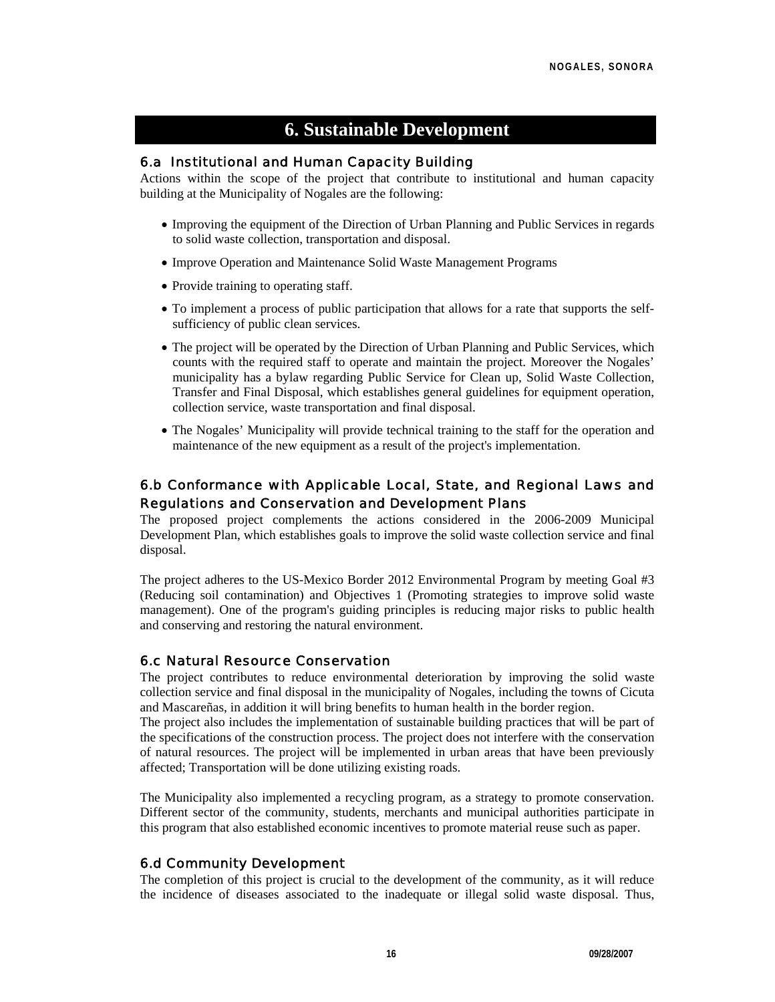# **6. Sustainable Development**

## 6.a Institutional and Human Capacity Building

Actions within the scope of the project that contribute to institutional and human capacity building at the Municipality of Nogales are the following:

- Improving the equipment of the Direction of Urban Planning and Public Services in regards to solid waste collection, transportation and disposal.
- Improve Operation and Maintenance Solid Waste Management Programs
- Provide training to operating staff.
- To implement a process of public participation that allows for a rate that supports the selfsufficiency of public clean services.
- The project will be operated by the Direction of Urban Planning and Public Services, which counts with the required staff to operate and maintain the project. Moreover the Nogales' municipality has a bylaw regarding Public Service for Clean up, Solid Waste Collection, Transfer and Final Disposal, which establishes general guidelines for equipment operation, collection service, waste transportation and final disposal.
- The Nogales' Municipality will provide technical training to the staff for the operation and maintenance of the new equipment as a result of the project's implementation.

## 6.b Conformance with Applicable Local, State, and Regional Laws and Regulations and Conservation and Development Plans

The proposed project complements the actions considered in the 2006-2009 Municipal Development Plan, which establishes goals to improve the solid waste collection service and final disposal.

The project adheres to the US-Mexico Border 2012 Environmental Program by meeting Goal #3 (Reducing soil contamination) and Objectives 1 (Promoting strategies to improve solid waste management). One of the program's guiding principles is reducing major risks to public health and conserving and restoring the natural environment.

## 6.c Natural Resource Conservation

The project contributes to reduce environmental deterioration by improving the solid waste collection service and final disposal in the municipality of Nogales, including the towns of Cicuta and Mascareñas, in addition it will bring benefits to human health in the border region.

The project also includes the implementation of sustainable building practices that will be part of the specifications of the construction process. The project does not interfere with the conservation of natural resources. The project will be implemented in urban areas that have been previously affected; Transportation will be done utilizing existing roads.

The Municipality also implemented a recycling program, as a strategy to promote conservation. Different sector of the community, students, merchants and municipal authorities participate in this program that also established economic incentives to promote material reuse such as paper.

## 6.d Community Development

The completion of this project is crucial to the development of the community, as it will reduce the incidence of diseases associated to the inadequate or illegal solid waste disposal. Thus,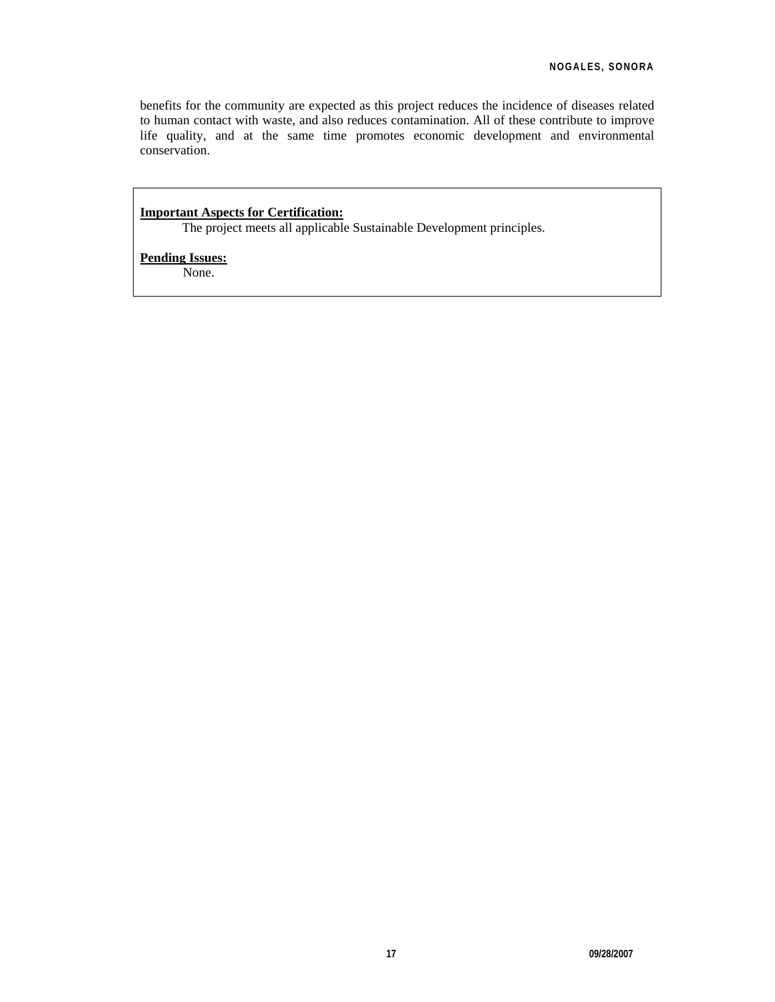benefits for the community are expected as this project reduces the incidence of diseases related to human contact with waste, and also reduces contamination. All of these contribute to improve life quality, and at the same time promotes economic development and environmental conservation.

### **Important Aspects for Certification:**

The project meets all applicable Sustainable Development principles.

#### **Pending Issues:**

None.